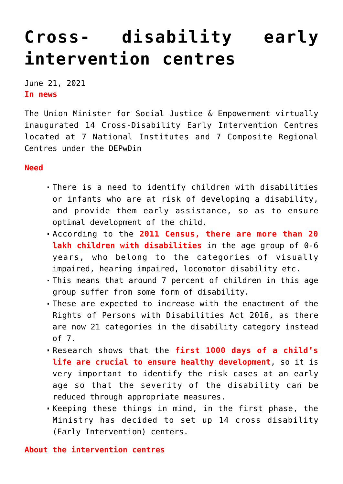## **[Cross- disability early](https://journalsofindia.com/cross-disability-early-intervention-centres/) [intervention centres](https://journalsofindia.com/cross-disability-early-intervention-centres/)**

June 21, 2021 **In news** 

The Union Minister for Social Justice & Empowerment virtually inaugurated 14 Cross-Disability Early Intervention Centres located at 7 National Institutes and 7 Composite Regional Centres under the DEPwDin

## **Need**

- There is a need to identify children with disabilities or infants who are at risk of developing a disability, and provide them early assistance, so as to ensure optimal development of the child.
- According to the **2011 Census, there are more than 20 lakh children with disabilities** in the age group of 0-6 years, who belong to the categories of visually impaired, hearing impaired, locomotor disability etc.
- This means that around 7 percent of children in this age group suffer from some form of disability.
- These are expected to increase with the enactment of the Rights of Persons with Disabilities Act 2016, as there are now 21 categories in the disability category instead of 7.
- Research shows that the **first 1000 days of a child's life are crucial to ensure healthy development**, so it is very important to identify the risk cases at an early age so that the severity of the disability can be reduced through appropriate measures.
- Keeping these things in mind, in the first phase, the Ministry has decided to set up 14 cross disability (Early Intervention) centers.

## **About the intervention centres**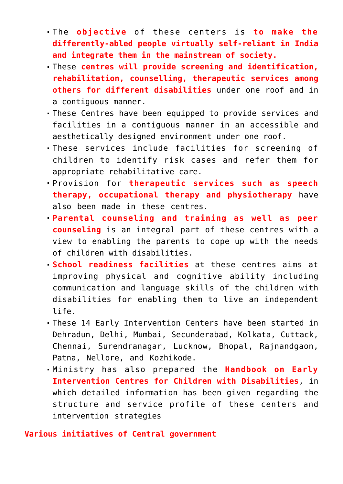- The **objective** of these centers is **to make the differently-abled people virtually self-reliant in India and integrate them in the mainstream of society.**
- These **centres will provide screening and identification, rehabilitation, counselling, therapeutic services among others for different disabilities** under one roof and in a contiguous manner.
- These Centres have been equipped to provide services and facilities in a contiguous manner in an accessible and aesthetically designed environment under one roof.
- These services include facilities for screening of children to identify risk cases and refer them for appropriate rehabilitative care.
- Provision for **therapeutic services such as speech therapy, occupational therapy and physiotherapy** have also been made in these centres.
- **Parental counseling and training as well as peer counseling** is an integral part of these centres with a view to enabling the parents to cope up with the needs of children with disabilities.
- **School readiness facilities** at these centres aims at improving physical and cognitive ability including communication and language skills of the children with disabilities for enabling them to live an independent life.
- These 14 Early Intervention Centers have been started in Dehradun, Delhi, Mumbai, Secunderabad, Kolkata, Cuttack, Chennai, Surendranagar, Lucknow, Bhopal, Rajnandgaon, Patna, Nellore, and Kozhikode.
- Ministry has also prepared the **Handbook on Early Intervention Centres for Children with Disabilities**, in which detailed information has been given regarding the structure and service profile of these centers and intervention strategies

## **Various initiatives of Central government**